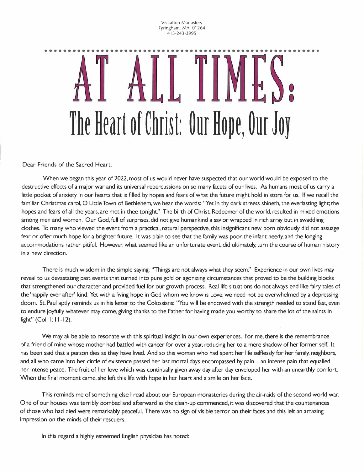Visitation Monastery Tyringham, MA 01264 413-243-3995

## •••••••••••••••••••••••••••••••••••••••••••••••••••••••••••  $\bullet$ **THE HEALT OF CHILST. OUR HOPE, OUR JOY**

Dear Friends of the Sacred Heart,

When we began this year of 2022, most of us would never have suspected that our world would be exposed to the destructive effects of a major war and its universal repercussions on so many facets of our lives. As humans most of us carry a little pocket of anxiety in our hearts that is filled by hopes and fears of what the future might hold in store for us. If we recall the familiar Christmas carol, 0 Little Town of Bethlehem, we hear the words: "Yet in thy dark streets shineth, the everlasting light; the hopes and fears of all the years, are met in thee tonight:' The birth of Christ, Redeemer of the world, resulted in mixed emotions among men and women. Our God, full of surprises, did not give humankind a savior wrapped in rich array but in swaddling clothes. To many who viewed the event from a practical, natural perspective, this insignificant new born obviously did not assuage fear or offer much hope for a brighter future. It was plain to see that the family was poor, the infant needy, and the lodging accommodations rather pitiful. However, what seemed like an unfortunate event, did ultimately, turn the course of human history in a new direction.

There is much wisdom in the simple saying: "Things are not always what they seem." Experience in our own lives may reveal to us devastating past events that turned into pure gold or agonizing circumstances that proved to be the building blocks that strengthened our character and provided fuel for our growth process. Real life situations do not always end like fairy tales of the 'happily ever after' kind. Yet with a living hope in God whom we know is Love, we need not be overwhelmed by a depressing doom. St. Paul aptly reminds us in his letter to the Colossians: "You will be endowed with the strength needed to stand fast, even to endure joyfully whatever may come, giving thanks to the Father for having made you worthy to share the lot of the saints in light" (Col. I: 11-12).

We may all be able to resonate with this spiritual insight in our own experiences. For me, there is the remembrance of a friend of mine whose mother had battled with cancer for over a year, reducing her to a mere shadow of her former self. It has been said that a person dies as they have lived. And so this woman who had spent her life selflessly for her family, neighbors, and all who came into her circle of existence passed her last mortal days encompassed by pain... an intense pain that equalled her intense peace. The fruit of her love which was continually given away day after day enveloped her with an unearthly comfort. When the final moment came, she left this life with hope in her heart and a smile on her face.

This reminds me of something else I read about our European monasteries during the air-raids of the second world war. One of our houses was terribly bombed and afterward as the clean-up commenced, it was discovered that the countenances of those who had died were remarkably peaceful. There was no sign of visible terror on their faces and this left an amazing impression on the minds of their rescuers.

In this regard a highly esteemed English physician has noted: